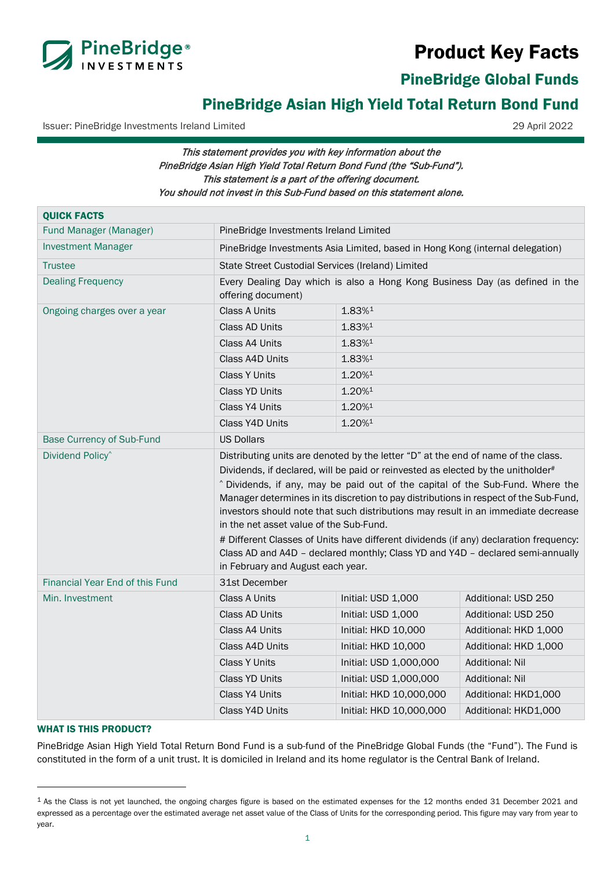# Product Key Facts



PineBridge Global Funds

# PineBridge Asian High Yield Total Return Bond Fund

Issuer: PineBridge Investments Ireland Limited 29 April 2022

# This statement provides you with key information about the PineBridge Asian High Yield Total Return Bond Fund (the "Sub-Fund"). This statement is a part of the offering document. You should not invest in this Sub-Fund based on this statement alone.

| <b>QUICK FACTS</b>                     |                                                                                                                                                                                                                                                                                                                                                                                                                                                                                                                                                                                                                                                                                                  |                         |                        |  |
|----------------------------------------|--------------------------------------------------------------------------------------------------------------------------------------------------------------------------------------------------------------------------------------------------------------------------------------------------------------------------------------------------------------------------------------------------------------------------------------------------------------------------------------------------------------------------------------------------------------------------------------------------------------------------------------------------------------------------------------------------|-------------------------|------------------------|--|
| Fund Manager (Manager)                 | PineBridge Investments Ireland Limited                                                                                                                                                                                                                                                                                                                                                                                                                                                                                                                                                                                                                                                           |                         |                        |  |
| <b>Investment Manager</b>              | PineBridge Investments Asia Limited, based in Hong Kong (internal delegation)                                                                                                                                                                                                                                                                                                                                                                                                                                                                                                                                                                                                                    |                         |                        |  |
| <b>Trustee</b>                         | State Street Custodial Services (Ireland) Limited                                                                                                                                                                                                                                                                                                                                                                                                                                                                                                                                                                                                                                                |                         |                        |  |
| <b>Dealing Frequency</b>               | Every Dealing Day which is also a Hong Kong Business Day (as defined in the<br>offering document)                                                                                                                                                                                                                                                                                                                                                                                                                                                                                                                                                                                                |                         |                        |  |
| Ongoing charges over a year            | Class A Units                                                                                                                                                                                                                                                                                                                                                                                                                                                                                                                                                                                                                                                                                    | 1.83%1                  |                        |  |
|                                        | Class AD Units                                                                                                                                                                                                                                                                                                                                                                                                                                                                                                                                                                                                                                                                                   | 1.83%1                  |                        |  |
|                                        | Class A4 Units                                                                                                                                                                                                                                                                                                                                                                                                                                                                                                                                                                                                                                                                                   | 1.83%1                  |                        |  |
|                                        | Class A4D Units                                                                                                                                                                                                                                                                                                                                                                                                                                                                                                                                                                                                                                                                                  | $1.83\%$ <sup>1</sup>   |                        |  |
|                                        | <b>Class Y Units</b>                                                                                                                                                                                                                                                                                                                                                                                                                                                                                                                                                                                                                                                                             | 1.20%1                  |                        |  |
|                                        | <b>Class YD Units</b>                                                                                                                                                                                                                                                                                                                                                                                                                                                                                                                                                                                                                                                                            | 1.20%1                  |                        |  |
|                                        | Class Y4 Units                                                                                                                                                                                                                                                                                                                                                                                                                                                                                                                                                                                                                                                                                   | 1.20%1                  |                        |  |
|                                        | Class Y4D Units                                                                                                                                                                                                                                                                                                                                                                                                                                                                                                                                                                                                                                                                                  | 1.20%1                  |                        |  |
| <b>Base Currency of Sub-Fund</b>       | <b>US Dollars</b>                                                                                                                                                                                                                                                                                                                                                                                                                                                                                                                                                                                                                                                                                |                         |                        |  |
| Dividend Policy <sup>^</sup>           | Distributing units are denoted by the letter "D" at the end of name of the class.<br>Dividends, if declared, will be paid or reinvested as elected by the unitholder#<br>^ Dividends, if any, may be paid out of the capital of the Sub-Fund. Where the<br>Manager determines in its discretion to pay distributions in respect of the Sub-Fund,<br>investors should note that such distributions may result in an immediate decrease<br>in the net asset value of the Sub-Fund.<br># Different Classes of Units have different dividends (if any) declaration frequency:<br>Class AD and A4D - declared monthly; Class YD and Y4D - declared semi-annually<br>in February and August each year. |                         |                        |  |
| <b>Financial Year End of this Fund</b> | 31st December                                                                                                                                                                                                                                                                                                                                                                                                                                                                                                                                                                                                                                                                                    |                         |                        |  |
| Min. Investment                        | <b>Class A Units</b>                                                                                                                                                                                                                                                                                                                                                                                                                                                                                                                                                                                                                                                                             | Initial: USD 1,000      | Additional: USD 250    |  |
|                                        | Class AD Units                                                                                                                                                                                                                                                                                                                                                                                                                                                                                                                                                                                                                                                                                   | Initial: USD 1,000      | Additional: USD 250    |  |
|                                        | Class A4 Units                                                                                                                                                                                                                                                                                                                                                                                                                                                                                                                                                                                                                                                                                   | Initial: HKD 10,000     | Additional: HKD 1,000  |  |
|                                        | Class A4D Units                                                                                                                                                                                                                                                                                                                                                                                                                                                                                                                                                                                                                                                                                  | Initial: HKD 10,000     | Additional: HKD 1,000  |  |
|                                        | <b>Class Y Units</b>                                                                                                                                                                                                                                                                                                                                                                                                                                                                                                                                                                                                                                                                             | Initial: USD 1,000,000  | <b>Additional: Nil</b> |  |
|                                        | <b>Class YD Units</b>                                                                                                                                                                                                                                                                                                                                                                                                                                                                                                                                                                                                                                                                            | Initial: USD 1,000,000  | <b>Additional: Nil</b> |  |
|                                        | Class Y4 Units                                                                                                                                                                                                                                                                                                                                                                                                                                                                                                                                                                                                                                                                                   | Initial: HKD 10,000,000 | Additional: HKD1,000   |  |
|                                        | Class Y4D Units                                                                                                                                                                                                                                                                                                                                                                                                                                                                                                                                                                                                                                                                                  | Initial: HKD 10,000,000 | Additional: HKD1,000   |  |

# WHAT IS THIS PRODUCT?

PineBridge Asian High Yield Total Return Bond Fund is a sub-fund of the PineBridge Global Funds (the "Fund"). The Fund is constituted in the form of a unit trust. It is domiciled in Ireland and its home regulator is the Central Bank of Ireland.

<span id="page-0-0"></span><sup>&</sup>lt;sup>1</sup> As the Class is not yet launched, the ongoing charges figure is based on the estimated expenses for the 12 months ended 31 December 2021 and expressed as a percentage over the estimated average net asset value of the Class of Units for the corresponding period. This figure may vary from year to year.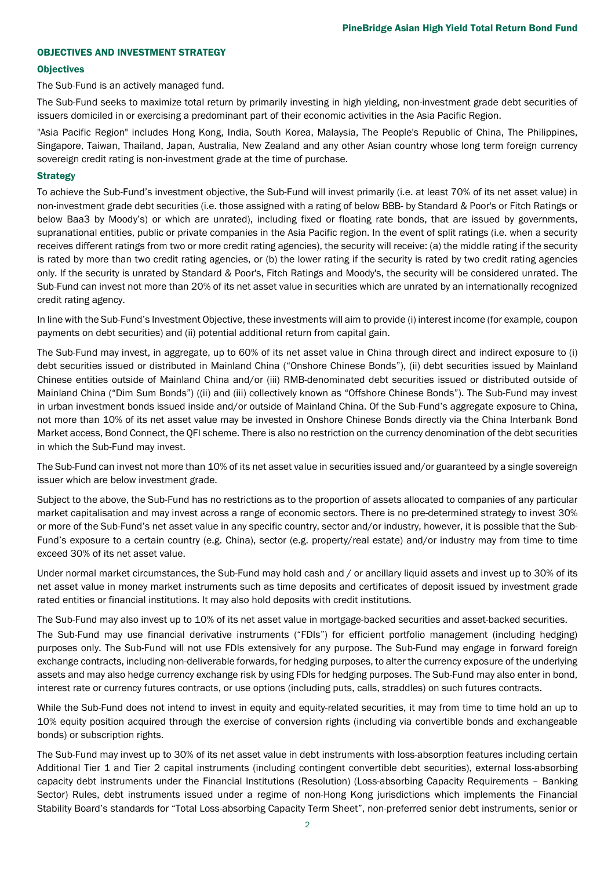# OBJECTIVES AND INVESTMENT STRATEGY

#### **Objectives**

The Sub-Fund is an actively managed fund.

The Sub-Fund seeks to maximize total return by primarily investing in high yielding, non-investment grade debt securities of issuers domiciled in or exercising a predominant part of their economic activities in the Asia Pacific Region.

"Asia Pacific Region" includes Hong Kong, India, South Korea, Malaysia, The People's Republic of China, The Philippines, Singapore, Taiwan, Thailand, Japan, Australia, New Zealand and any other Asian country whose long term foreign currency sovereign credit rating is non-investment grade at the time of purchase.

#### **Strategy**

To achieve the Sub-Fund's investment objective, the Sub-Fund will invest primarily (i.e. at least 70% of its net asset value) in non-investment grade debt securities (i.e. those assigned with a rating of below BBB- by Standard & Poor's or Fitch Ratings or below Baa3 by Moody's) or which are unrated), including fixed or floating rate bonds, that are issued by governments, supranational entities, public or private companies in the Asia Pacific region. In the event of split ratings (i.e. when a security receives different ratings from two or more credit rating agencies), the security will receive: (a) the middle rating if the security is rated by more than two credit rating agencies, or (b) the lower rating if the security is rated by two credit rating agencies only. If the security is unrated by Standard & Poor's, Fitch Ratings and Moody's, the security will be considered unrated. The Sub-Fund can invest not more than 20% of its net asset value in securities which are unrated by an internationally recognized credit rating agency.

In line with the Sub-Fund's Investment Objective, these investments will aim to provide (i) interest income (for example, coupon payments on debt securities) and (ii) potential additional return from capital gain.

The Sub-Fund may invest, in aggregate, up to 60% of its net asset value in China through direct and indirect exposure to (i) debt securities issued or distributed in Mainland China ("Onshore Chinese Bonds"), (ii) debt securities issued by Mainland Chinese entities outside of Mainland China and/or (iii) RMB-denominated debt securities issued or distributed outside of Mainland China ("Dim Sum Bonds") ((ii) and (iii) collectively known as "Offshore Chinese Bonds"). The Sub-Fund may invest in urban investment bonds issued inside and/or outside of Mainland China. Of the Sub-Fund's aggregate exposure to China, not more than 10% of its net asset value may be invested in Onshore Chinese Bonds directly via the China Interbank Bond Market access, Bond Connect, the QFI scheme. There is also no restriction on the currency denomination of the debt securities in which the Sub-Fund may invest.

The Sub-Fund can invest not more than 10% of its net asset value in securities issued and/or guaranteed by a single sovereign issuer which are below investment grade.

Subject to the above, the Sub-Fund has no restrictions as to the proportion of assets allocated to companies of any particular market capitalisation and may invest across a range of economic sectors. There is no pre-determined strategy to invest 30% or more of the Sub-Fund's net asset value in any specific country, sector and/or industry, however, it is possible that the Sub-Fund's exposure to a certain country (e.g. China), sector (e.g. property/real estate) and/or industry may from time to time exceed 30% of its net asset value.

Under normal market circumstances, the Sub-Fund may hold cash and / or ancillary liquid assets and invest up to 30% of its net asset value in money market instruments such as time deposits and certificates of deposit issued by investment grade rated entities or financial institutions. It may also hold deposits with credit institutions.

The Sub-Fund may also invest up to 10% of its net asset value in mortgage-backed securities and asset-backed securities. The Sub-Fund may use financial derivative instruments ("FDIs") for efficient portfolio management (including hedging) purposes only. The Sub-Fund will not use FDIs extensively for any purpose. The Sub-Fund may engage in forward foreign exchange contracts, including non-deliverable forwards, for hedging purposes, to alter the currency exposure of the underlying assets and may also hedge currency exchange risk by using FDIs for hedging purposes. The Sub-Fund may also enter in bond, interest rate or currency futures contracts, or use options (including puts, calls, straddles) on such futures contracts.

While the Sub-Fund does not intend to invest in equity and equity-related securities, it may from time to time hold an up to 10% equity position acquired through the exercise of conversion rights (including via convertible bonds and exchangeable bonds) or subscription rights.

The Sub-Fund may invest up to 30% of its net asset value in debt instruments with loss-absorption features including certain Additional Tier 1 and Tier 2 capital instruments (including contingent convertible debt securities), external loss-absorbing capacity debt instruments under the Financial Institutions (Resolution) (Loss-absorbing Capacity Requirements – Banking Sector) Rules, debt instruments issued under a regime of non-Hong Kong jurisdictions which implements the Financial Stability Board's standards for "Total Loss-absorbing Capacity Term Sheet", non-preferred senior debt instruments, senior or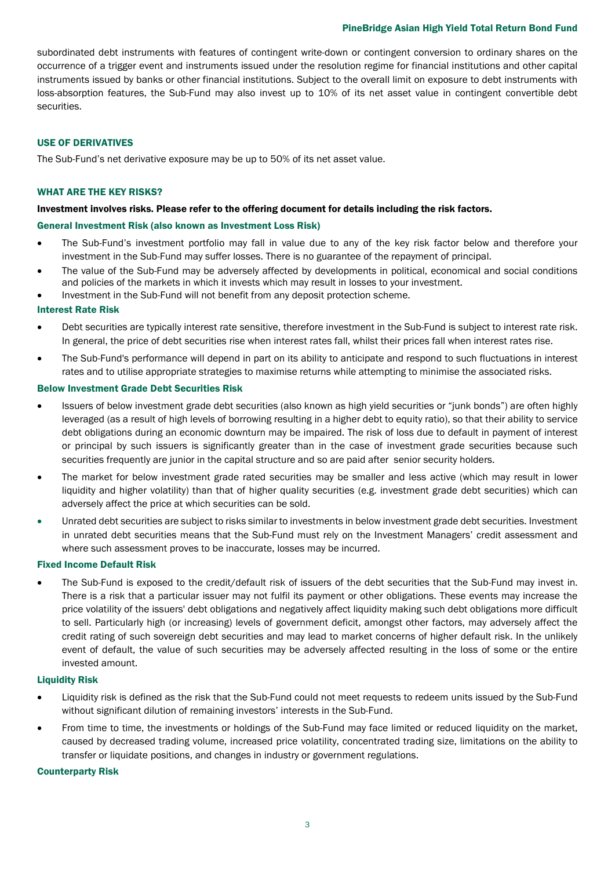### PineBridge Asian High Yield Total Return Bond Fund

subordinated debt instruments with features of contingent write-down or contingent conversion to ordinary shares on the occurrence of a trigger event and instruments issued under the resolution regime for financial institutions and other capital instruments issued by banks or other financial institutions. Subject to the overall limit on exposure to debt instruments with loss-absorption features, the Sub-Fund may also invest up to 10% of its net asset value in contingent convertible debt securities.

### USE OF DERIVATIVES

The Sub-Fund's net derivative exposure may be up to 50% of its net asset value.

# WHAT ARE THE KEY RISKS?

# Investment involves risks. Please refer to the offering document for details including the risk factors.

# General Investment Risk (also known as Investment Loss Risk)

- The Sub-Fund's investment portfolio may fall in value due to any of the key risk factor below and therefore your investment in the Sub-Fund may suffer losses. There is no guarantee of the repayment of principal.
- The value of the Sub-Fund may be adversely affected by developments in political, economical and social conditions and policies of the markets in which it invests which may result in losses to your investment.
- Investment in the Sub-Fund will not benefit from any deposit protection scheme.

# Interest Rate Risk

- Debt securities are typically interest rate sensitive, therefore investment in the Sub-Fund is subject to interest rate risk. In general, the price of debt securities rise when interest rates fall, whilst their prices fall when interest rates rise.
- The Sub-Fund's performance will depend in part on its ability to anticipate and respond to such fluctuations in interest rates and to utilise appropriate strategies to maximise returns while attempting to minimise the associated risks.

#### Below Investment Grade Debt Securities Risk

- Issuers of below investment grade debt securities (also known as high yield securities or "junk bonds") are often highly leveraged (as a result of high levels of borrowing resulting in a higher debt to equity ratio), so that their ability to service debt obligations during an economic downturn may be impaired. The risk of loss due to default in payment of interest or principal by such issuers is significantly greater than in the case of investment grade securities because such securities frequently are junior in the capital structure and so are paid after senior security holders.
- The market for below investment grade rated securities may be smaller and less active (which may result in lower liquidity and higher volatility) than that of higher quality securities (e.g. investment grade debt securities) which can adversely affect the price at which securities can be sold.
- Unrated debt securities are subject to risks similar to investments in below investment grade debt securities. Investment in unrated debt securities means that the Sub-Fund must rely on the Investment Managers' credit assessment and where such assessment proves to be inaccurate, losses may be incurred.

# Fixed Income Default Risk

• The Sub-Fund is exposed to the credit/default risk of issuers of the debt securities that the Sub-Fund may invest in. There is a risk that a particular issuer may not fulfil its payment or other obligations. These events may increase the price volatility of the issuers' debt obligations and negatively affect liquidity making such debt obligations more difficult to sell. Particularly high (or increasing) levels of government deficit, amongst other factors, may adversely affect the credit rating of such sovereign debt securities and may lead to market concerns of higher default risk. In the unlikely event of default, the value of such securities may be adversely affected resulting in the loss of some or the entire invested amount.

#### Liquidity Risk

- Liquidity risk is defined as the risk that the Sub-Fund could not meet requests to redeem units issued by the Sub-Fund without significant dilution of remaining investors' interests in the Sub-Fund.
- From time to time, the investments or holdings of the Sub-Fund may face limited or reduced liquidity on the market, caused by decreased trading volume, increased price volatility, concentrated trading size, limitations on the ability to transfer or liquidate positions, and changes in industry or government regulations.

#### Counterparty Risk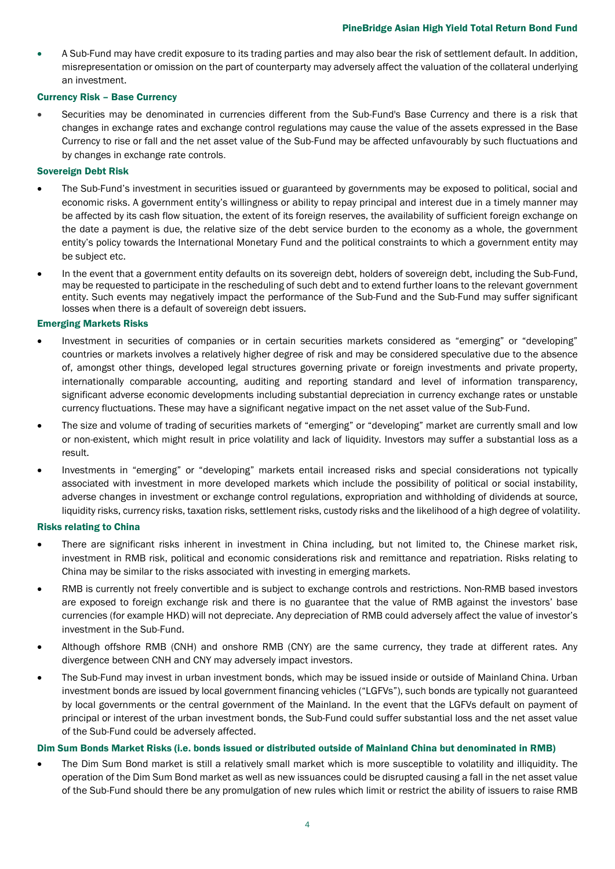• A Sub-Fund may have credit exposure to its trading parties and may also bear the risk of settlement default. In addition, misrepresentation or omission on the part of counterparty may adversely affect the valuation of the collateral underlying an investment.

# Currency Risk – Base Currency

• Securities may be denominated in currencies different from the Sub-Fund's Base Currency and there is a risk that changes in exchange rates and exchange control regulations may cause the value of the assets expressed in the Base Currency to rise or fall and the net asset value of the Sub-Fund may be affected unfavourably by such fluctuations and by changes in exchange rate controls.

# Sovereign Debt Risk

- The Sub-Fund's investment in securities issued or guaranteed by governments may be exposed to political, social and economic risks. A government entity's willingness or ability to repay principal and interest due in a timely manner may be affected by its cash flow situation, the extent of its foreign reserves, the availability of sufficient foreign exchange on the date a payment is due, the relative size of the debt service burden to the economy as a whole, the government entity's policy towards the International Monetary Fund and the political constraints to which a government entity may be subject etc.
- In the event that a government entity defaults on its sovereign debt, holders of sovereign debt, including the Sub-Fund, may be requested to participate in the rescheduling of such debt and to extend further loans to the relevant government entity. Such events may negatively impact the performance of the Sub-Fund and the Sub-Fund may suffer significant losses when there is a default of sovereign debt issuers.

# Emerging Markets Risks

- Investment in securities of companies or in certain securities markets considered as "emerging" or "developing" countries or markets involves a relatively higher degree of risk and may be considered speculative due to the absence of, amongst other things, developed legal structures governing private or foreign investments and private property, internationally comparable accounting, auditing and reporting standard and level of information transparency, significant adverse economic developments including substantial depreciation in currency exchange rates or unstable currency fluctuations. These may have a significant negative impact on the net asset value of the Sub-Fund.
- The size and volume of trading of securities markets of "emerging" or "developing" market are currently small and low or non-existent, which might result in price volatility and lack of liquidity. Investors may suffer a substantial loss as a result.
- Investments in "emerging" or "developing" markets entail increased risks and special considerations not typically associated with investment in more developed markets which include the possibility of political or social instability, adverse changes in investment or exchange control regulations, expropriation and withholding of dividends at source, liquidity risks, currency risks, taxation risks, settlement risks, custody risks and the likelihood of a high degree of volatility.

# Risks relating to China

- There are significant risks inherent in investment in China including, but not limited to, the Chinese market risk, investment in RMB risk, political and economic considerations risk and remittance and repatriation. Risks relating to China may be similar to the risks associated with investing in emerging markets.
- RMB is currently not freely convertible and is subject to exchange controls and restrictions. Non-RMB based investors are exposed to foreign exchange risk and there is no guarantee that the value of RMB against the investors' base currencies (for example HKD) will not depreciate. Any depreciation of RMB could adversely affect the value of investor's investment in the Sub-Fund.
- Although offshore RMB (CNH) and onshore RMB (CNY) are the same currency, they trade at different rates. Any divergence between CNH and CNY may adversely impact investors.
- The Sub-Fund may invest in urban investment bonds, which may be issued inside or outside of Mainland China. Urban investment bonds are issued by local government financing vehicles ("LGFVs"), such bonds are typically not guaranteed by local governments or the central government of the Mainland. In the event that the LGFVs default on payment of principal or interest of the urban investment bonds, the Sub-Fund could suffer substantial loss and the net asset value of the Sub-Fund could be adversely affected.

# Dim Sum Bonds Market Risks (i.e. bonds issued or distributed outside of Mainland China but denominated in RMB)

• The Dim Sum Bond market is still a relatively small market which is more susceptible to volatility and illiquidity. The operation of the Dim Sum Bond market as well as new issuances could be disrupted causing a fall in the net asset value of the Sub-Fund should there be any promulgation of new rules which limit or restrict the ability of issuers to raise RMB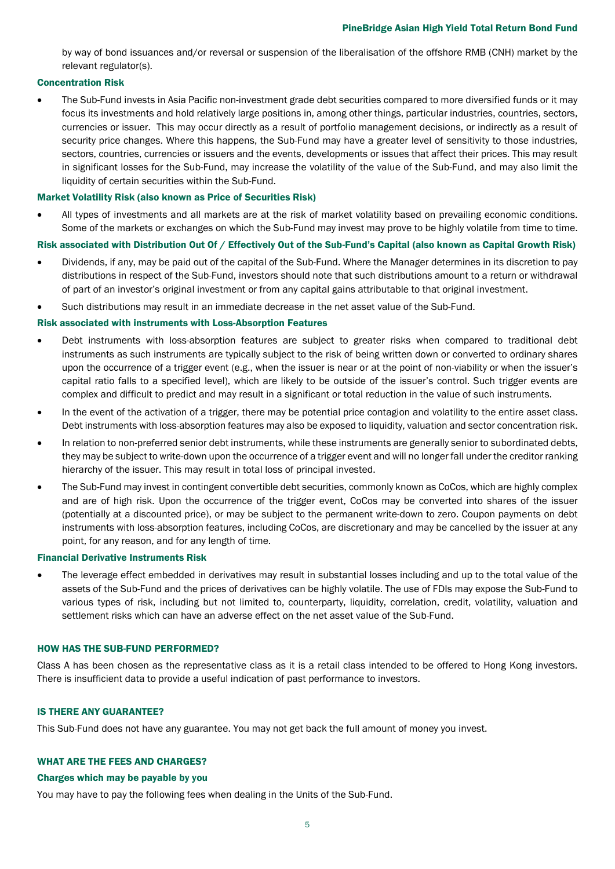by way of bond issuances and/or reversal or suspension of the liberalisation of the offshore RMB (CNH) market by the relevant regulator(s).

# Concentration Risk

• The Sub-Fund invests in Asia Pacific non-investment grade debt securities compared to more diversified funds or it may focus its investments and hold relatively large positions in, among other things, particular industries, countries, sectors, currencies or issuer. This may occur directly as a result of portfolio management decisions, or indirectly as a result of security price changes. Where this happens, the Sub-Fund may have a greater level of sensitivity to those industries, sectors, countries, currencies or issuers and the events, developments or issues that affect their prices. This may result in significant losses for the Sub-Fund, may increase the volatility of the value of the Sub-Fund, and may also limit the liquidity of certain securities within the Sub-Fund.

### Market Volatility Risk (also known as Price of Securities Risk)

• All types of investments and all markets are at the risk of market volatility based on prevailing economic conditions. Some of the markets or exchanges on which the Sub-Fund may invest may prove to be highly volatile from time to time.

# Risk associated with Distribution Out Of / Effectively Out of the Sub-Fund's Capital (also known as Capital Growth Risk)

- Dividends, if any, may be paid out of the capital of the Sub-Fund. Where the Manager determines in its discretion to pay distributions in respect of the Sub-Fund, investors should note that such distributions amount to a return or withdrawal of part of an investor's original investment or from any capital gains attributable to that original investment.
- Such distributions may result in an immediate decrease in the net asset value of the Sub-Fund.

# Risk associated with instruments with Loss-Absorption Features

- Debt instruments with loss-absorption features are subject to greater risks when compared to traditional debt instruments as such instruments are typically subject to the risk of being written down or converted to ordinary shares upon the occurrence of a trigger event (e.g., when the issuer is near or at the point of non-viability or when the issuer's capital ratio falls to a specified level), which are likely to be outside of the issuer's control. Such trigger events are complex and difficult to predict and may result in a significant or total reduction in the value of such instruments.
- In the event of the activation of a trigger, there may be potential price contagion and volatility to the entire asset class. Debt instruments with loss-absorption features may also be exposed to liquidity, valuation and sector concentration risk.
- In relation to non-preferred senior debt instruments, while these instruments are generally senior to subordinated debts, they may be subject to write-down upon the occurrence of a trigger event and will no longer fall under the creditor ranking hierarchy of the issuer. This may result in total loss of principal invested.
- The Sub-Fund may invest in contingent convertible debt securities, commonly known as CoCos, which are highly complex and are of high risk. Upon the occurrence of the trigger event, CoCos may be converted into shares of the issuer (potentially at a discounted price), or may be subject to the permanent write-down to zero. Coupon payments on debt instruments with loss-absorption features, including CoCos, are discretionary and may be cancelled by the issuer at any point, for any reason, and for any length of time.

# Financial Derivative Instruments Risk

• The leverage effect embedded in derivatives may result in substantial losses including and up to the total value of the assets of the Sub-Fund and the prices of derivatives can be highly volatile. The use of FDIs may expose the Sub-Fund to various types of risk, including but not limited to, counterparty, liquidity, correlation, credit, volatility, valuation and settlement risks which can have an adverse effect on the net asset value of the Sub-Fund.

#### HOW HAS THE SUB-FUND PERFORMED?

Class A has been chosen as the representative class as it is a retail class intended to be offered to Hong Kong investors. There is insufficient data to provide a useful indication of past performance to investors.

# IS THERE ANY GUARANTEE?

This Sub-Fund does not have any guarantee. You may not get back the full amount of money you invest.

### WHAT ARE THE FEES AND CHARGES?

#### Charges which may be payable by you

You may have to pay the following fees when dealing in the Units of the Sub-Fund.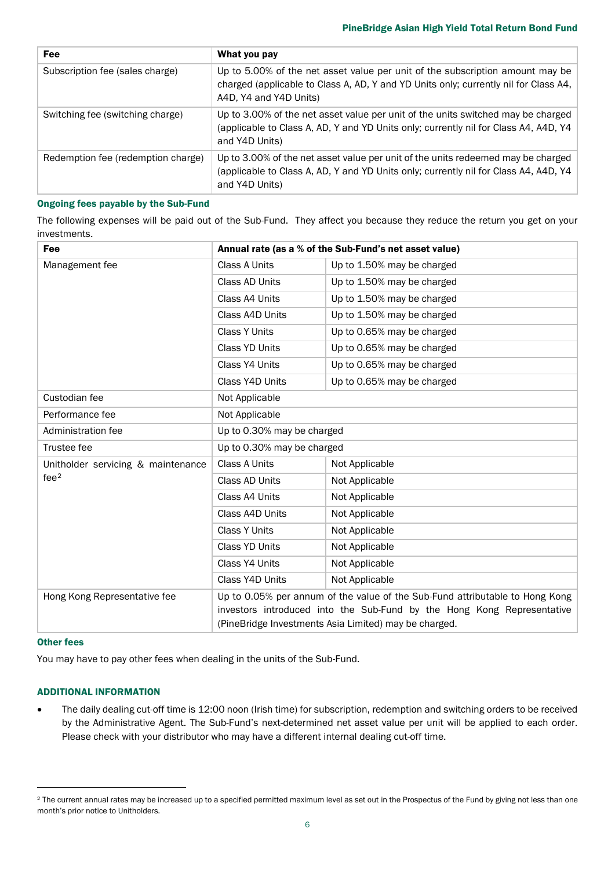| <b>Fee</b>                         | What you pay                                                                                                                                                                                    |
|------------------------------------|-------------------------------------------------------------------------------------------------------------------------------------------------------------------------------------------------|
| Subscription fee (sales charge)    | Up to 5.00% of the net asset value per unit of the subscription amount may be<br>charged (applicable to Class A, AD, Y and YD Units only; currently nil for Class A4,<br>A4D, Y4 and Y4D Units) |
| Switching fee (switching charge)   | Up to 3.00% of the net asset value per unit of the units switched may be charged<br>(applicable to Class A, AD, Y and YD Units only; currently nil for Class A4, A4D, Y4<br>and Y4D Units)      |
| Redemption fee (redemption charge) | Up to 3.00% of the net asset value per unit of the units redeemed may be charged<br>(applicable to Class A, AD, Y and YD Units only; currently nil for Class A4, A4D, Y4<br>and Y4D Units)      |

### Ongoing fees payable by the Sub-Fund

The following expenses will be paid out of the Sub-Fund. They affect you because they reduce the return you get on your investments.

| Fee                                                    | Annual rate (as a % of the Sub-Fund's net asset value)                                                                                                                                                          |                            |  |
|--------------------------------------------------------|-----------------------------------------------------------------------------------------------------------------------------------------------------------------------------------------------------------------|----------------------------|--|
| Management fee                                         | Class A Units                                                                                                                                                                                                   | Up to 1.50% may be charged |  |
|                                                        | Class AD Units                                                                                                                                                                                                  | Up to 1.50% may be charged |  |
|                                                        | Class A4 Units                                                                                                                                                                                                  | Up to 1.50% may be charged |  |
|                                                        | Class A4D Units                                                                                                                                                                                                 | Up to 1.50% may be charged |  |
|                                                        | <b>Class Y Units</b>                                                                                                                                                                                            | Up to 0.65% may be charged |  |
|                                                        | Class YD Units                                                                                                                                                                                                  | Up to 0.65% may be charged |  |
|                                                        | Class Y4 Units                                                                                                                                                                                                  | Up to 0.65% may be charged |  |
|                                                        | Class Y4D Units                                                                                                                                                                                                 | Up to 0.65% may be charged |  |
| Custodian fee                                          | Not Applicable                                                                                                                                                                                                  |                            |  |
| Performance fee                                        | Not Applicable                                                                                                                                                                                                  |                            |  |
| Administration fee                                     | Up to 0.30% may be charged                                                                                                                                                                                      |                            |  |
| Trustee fee                                            | Up to 0.30% may be charged                                                                                                                                                                                      |                            |  |
| Unitholder servicing & maintenance<br>fee <sup>2</sup> | Class A Units                                                                                                                                                                                                   | Not Applicable             |  |
|                                                        | Class AD Units                                                                                                                                                                                                  | Not Applicable             |  |
|                                                        | Class A4 Units                                                                                                                                                                                                  | Not Applicable             |  |
|                                                        | Class A4D Units                                                                                                                                                                                                 | Not Applicable             |  |
|                                                        | <b>Class Y Units</b>                                                                                                                                                                                            | Not Applicable             |  |
|                                                        | Class YD Units                                                                                                                                                                                                  | Not Applicable             |  |
|                                                        | Class Y4 Units                                                                                                                                                                                                  | Not Applicable             |  |
|                                                        | Class Y4D Units                                                                                                                                                                                                 | Not Applicable             |  |
| Hong Kong Representative fee                           | Up to 0.05% per annum of the value of the Sub-Fund attributable to Hong Kong<br>investors introduced into the Sub-Fund by the Hong Kong Representative<br>(PineBridge Investments Asia Limited) may be charged. |                            |  |

### Other fees

You may have to pay other fees when dealing in the units of the Sub-Fund.

# ADDITIONAL INFORMATION

• The daily dealing cut-off time is 12:00 noon (Irish time) for subscription, redemption and switching orders to be received by the Administrative Agent. The Sub-Fund's next-determined net asset value per unit will be applied to each order. Please check with your distributor who may have a different internal dealing cut-off time.

<span id="page-5-0"></span><sup>&</sup>lt;sup>2</sup> The current annual rates may be increased up to a specified permitted maximum level as set out in the Prospectus of the Fund by giving not less than one month's prior notice to Unitholders.